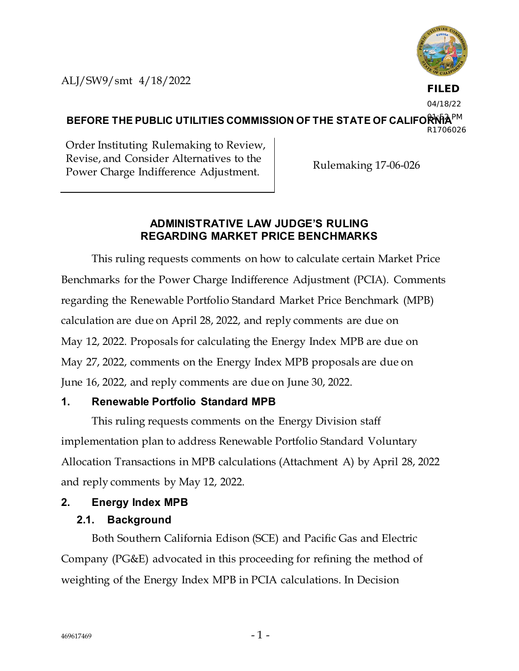ALJ/SW9/smt 4/18/2022



**FILED**

04/18/22

BEFORE THE PUBLIC UTILITIES COMMISSION OF THE STATE OF CALIFORNIA<sup>PM</sup> R1706026

Order Instituting Rulemaking to Review, Revise, and Consider Alternatives to the Power Charge Indifference Adjustment. Rulemaking 17-06-026

#### **ADMINISTRATIVE LAW JUDGE'S RULING REGARDING MARKET PRICE BENCHMARKS**

This ruling requests comments on how to calculate certain Market Price Benchmarks for the Power Charge Indifference Adjustment (PCIA). Comments regarding the Renewable Portfolio Standard Market Price Benchmark (MPB) calculation are due on April 28, 2022, and reply comments are due on May 12, 2022. Proposals for calculating the Energy Index MPB are due on May 27, 2022, comments on the Energy Index MPB proposals are due on June 16, 2022, and reply comments are due on June 30, 2022.

## **1. Renewable Portfolio Standard MPB**

This ruling requests comments on the Energy Division staff implementation plan to address Renewable Portfolio Standard Voluntary Allocation Transactions in MPB calculations (Attachment A) by April 28, 2022 and reply comments by May 12, 2022.

# **2. Energy Index MPB**

# **2.1. Background**

Both Southern California Edison (SCE) and Pacific Gas and Electric Company (PG&E) advocated in this proceeding for refining the method of weighting of the Energy Index MPB in PCIA calculations. In Decision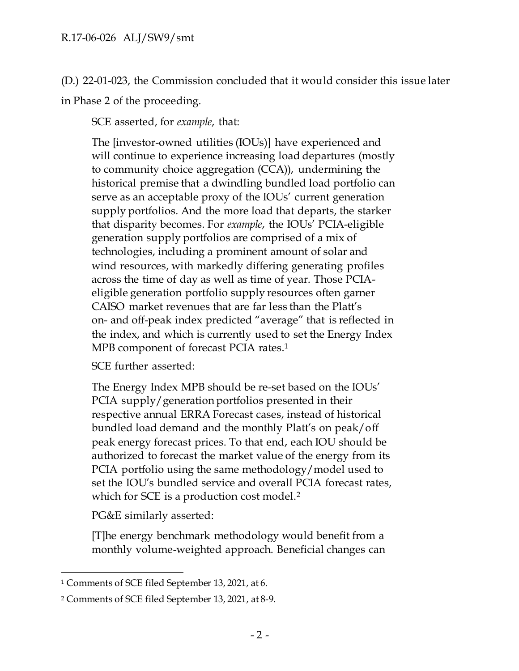(D.) 22-01-023, the Commission concluded that it would consider this issue later in Phase 2 of the proceeding.

SCE asserted, for *example*, that:

The [investor-owned utilities (IOUs)] have experienced and will continue to experience increasing load departures (mostly to community choice aggregation (CCA)), undermining the historical premise that a dwindling bundled load portfolio can serve as an acceptable proxy of the IOUs' current generation supply portfolios. And the more load that departs, the starker that disparity becomes. For *example*, the IOUs' PCIA-eligible generation supply portfolios are comprised of a mix of technologies, including a prominent amount of solar and wind resources, with markedly differing generating profiles across the time of day as well as time of year. Those PCIAeligible generation portfolio supply resources often garner CAISO market revenues that are far less than the Platt's on- and off-peak index predicted "average" that is reflected in the index, and which is currently used to set the Energy Index MPB component of forecast PCIA rates.<sup>1</sup>

SCE further asserted:

The Energy Index MPB should be re-set based on the IOUs' PCIA supply/generation portfolios presented in their respective annual ERRA Forecast cases, instead of historical bundled load demand and the monthly Platt's on peak/off peak energy forecast prices. To that end, each IOU should be authorized to forecast the market value of the energy from its PCIA portfolio using the same methodology/model used to set the IOU's bundled service and overall PCIA forecast rates, which for SCE is a production cost model.<sup>2</sup>

PG&E similarly asserted:

[T]he energy benchmark methodology would benefit from a monthly volume-weighted approach. Beneficial changes can

<sup>1</sup> Comments of SCE filed September 13, 2021, at 6.

<sup>2</sup> Comments of SCE filed September 13, 2021, at 8-9.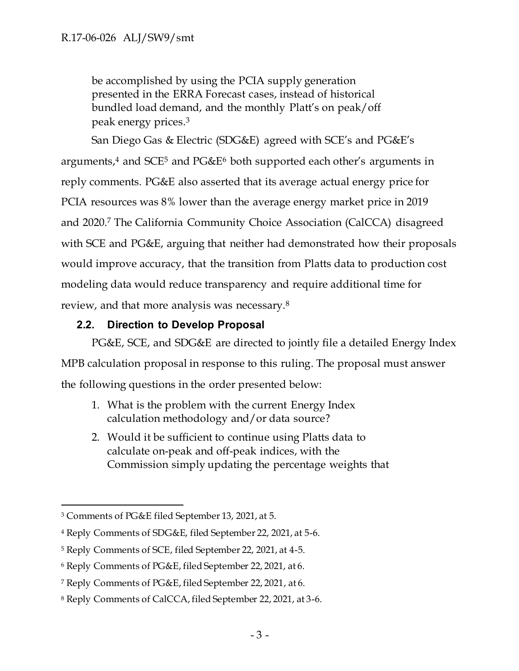be accomplished by using the PCIA supply generation presented in the ERRA Forecast cases, instead of historical bundled load demand, and the monthly Platt's on peak/off peak energy prices.<sup>3</sup>

San Diego Gas & Electric (SDG&E) agreed with SCE's and PG&E's arguments,<sup>4</sup> and SCE<sup>5</sup> and PG&E<sup>6</sup> both supported each other's arguments in reply comments. PG&E also asserted that its average actual energy price for PCIA resources was 8% lower than the average energy market price in 2019 and 2020.<sup>7</sup> The California Community Choice Association (CalCCA) disagreed with SCE and PG&E, arguing that neither had demonstrated how their proposals would improve accuracy, that the transition from Platts data to production cost modeling data would reduce transparency and require additional time for review, and that more analysis was necessary.<sup>8</sup>

#### **2.2. Direction to Develop Proposal**

PG&E, SCE, and SDG&E are directed to jointly file a detailed Energy Index MPB calculation proposal in response to this ruling. The proposal must answer the following questions in the order presented below:

- 1. What is the problem with the current Energy Index calculation methodology and/or data source?
- 2. Would it be sufficient to continue using Platts data to calculate on-peak and off-peak indices, with the Commission simply updating the percentage weights that

<sup>3</sup> Comments of PG&E filed September 13, 2021, at 5.

<sup>4</sup> Reply Comments of SDG&E, filed September 22, 2021, at 5-6.

<sup>5</sup> Reply Comments of SCE, filed September 22, 2021, at 4-5.

<sup>6</sup> Reply Comments of PG&E, filed September 22, 2021, at 6.

<sup>7</sup> Reply Comments of PG&E, filed September 22, 2021, at 6.

<sup>8</sup> Reply Comments of CalCCA, filed September 22, 2021, at 3-6.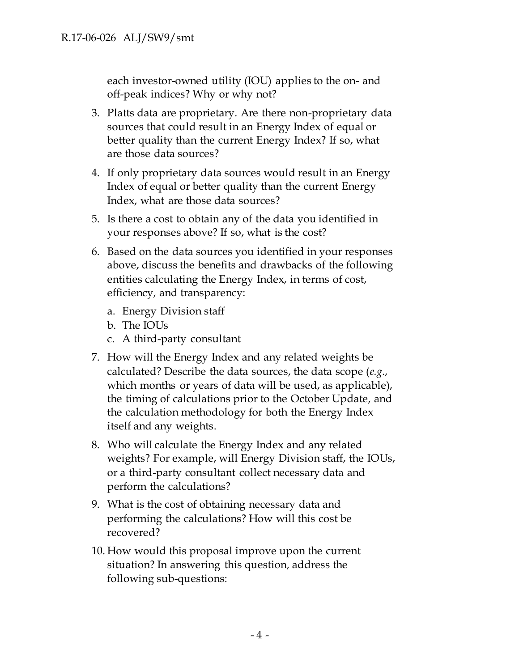each investor-owned utility (IOU) applies to the on- and off-peak indices? Why or why not?

- 3. Platts data are proprietary. Are there non-proprietary data sources that could result in an Energy Index of equal or better quality than the current Energy Index? If so, what are those data sources?
- 4. If only proprietary data sources would result in an Energy Index of equal or better quality than the current Energy Index, what are those data sources?
- 5. Is there a cost to obtain any of the data you identified in your responses above? If so, what is the cost?
- 6. Based on the data sources you identified in your responses above, discuss the benefits and drawbacks of the following entities calculating the Energy Index, in terms of cost, efficiency, and transparency:
	- a. Energy Division staff
	- b. The IOUs
	- c. A third-party consultant
- 7. How will the Energy Index and any related weights be calculated? Describe the data sources, the data scope (*e.g*., which months or years of data will be used, as applicable), the timing of calculations prior to the October Update, and the calculation methodology for both the Energy Index itself and any weights.
- 8. Who will calculate the Energy Index and any related weights? For example, will Energy Division staff, the IOUs, or a third-party consultant collect necessary data and perform the calculations?
- 9. What is the cost of obtaining necessary data and performing the calculations? How will this cost be recovered?
- 10. How would this proposal improve upon the current situation? In answering this question, address the following sub-questions: